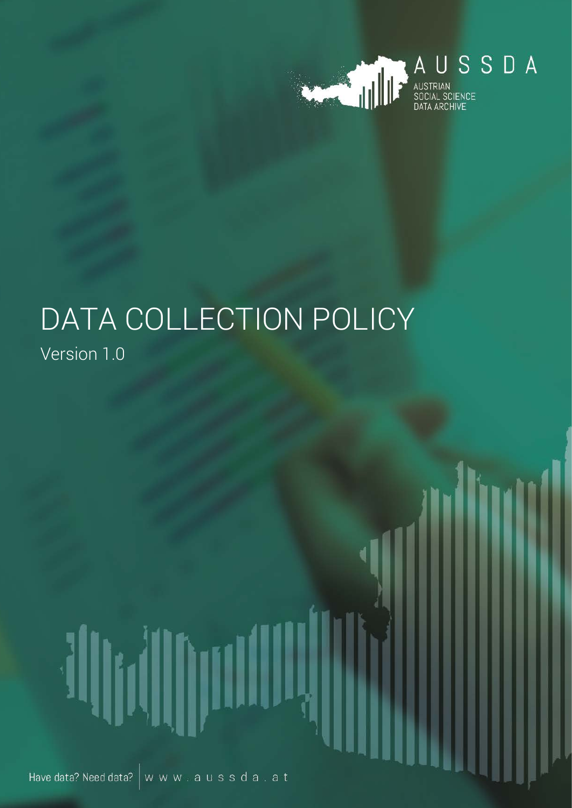

# DATA COLLECTION POLICY Version 1.0

Have data? Need data?  $\Big|$  w w w . a u s s d a . a t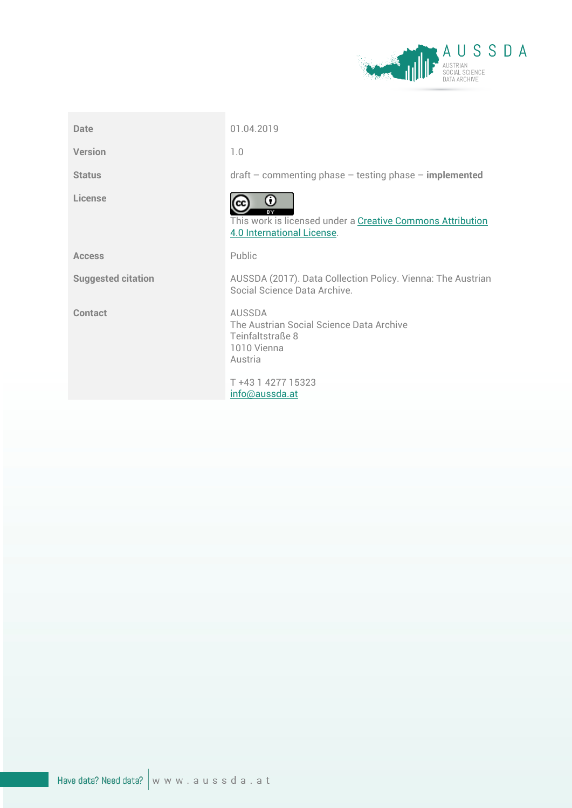

| <b>Date</b>               | 01.04.2019                                                                                       |
|---------------------------|--------------------------------------------------------------------------------------------------|
| Version                   | 1.0                                                                                              |
| <b>Status</b>             | $dr$ - commenting phase $-$ testing phase $-$ implemented                                        |
| License                   | Ο<br>This work is licensed under a Creative Commons Attribution<br>4.0 International License.    |
| <b>Access</b>             | Public                                                                                           |
| <b>Suggested citation</b> | AUSSDA (2017). Data Collection Policy. Vienna: The Austrian<br>Social Science Data Archive.      |
| Contact                   | AUSSDA<br>The Austrian Social Science Data Archive<br>Teinfaltstraße 8<br>1010 Vienna<br>Austria |
|                           | T+43 14277 15323<br>info@aussda.at                                                               |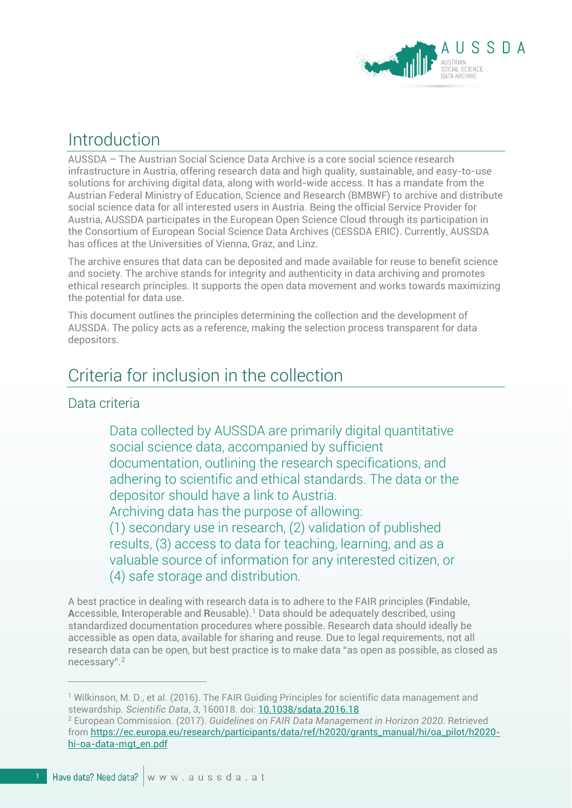

# Introduction

AUSSDA – The Austrian Social Science Data Archive is a core social science research infrastructure in Austria, offering research data and high quality, sustainable, and easy-to-use solutions for archiving digital data, along with world-wide access. It has a mandate from the Austrian Federal Ministry of Education, Science and Research (BMBWF) to archive and distribute social science data for all interested users in Austria. Being the official Service Provider for Austria, AUSSDA participates in the European Open Science Cloud through its participation in the Consortium of European Social Science Data Archives (CESSDA ERIC). Currently, AUSSDA has offices at the Universities of Vienna, Graz, and Linz.

The archive ensures that data can be deposited and made available for reuse to benefit science and society. The archive stands for integrity and authenticity in data archiving and promotes ethical research principles. It supports the open data movement and works towards maximizing the potential for data use.

This document outlines the principles determining the collection and the development of AUSSDA. The policy acts as a reference, making the selection process transparent for data depositors.

### Criteria for inclusion in the collection

### Data criteria

Data collected by AUSSDA are primarily digital quantitative social science data, accompanied by sufficient documentation, outlining the research specifications, and adhering to scientific and ethical standards. The data or the depositor should have a link to Austria. Archiving data has the purpose of allowing: (1) secondary use in research, (2) validation of published results, (3) access to data for teaching, learning, and as a valuable source of information for any interested citizen, or (4) safe storage and distribution.

A best practice in dealing with research data is to adhere to the FAIR principles (**F**indable, **A**ccessible, **I**nteroperable and **R**eusable).[1](#page-2-0) Data should be adequately described, using standardized documentation procedures where possible. Research data should ideally be accessible as open data, available for sharing and reuse. Due to legal requirements, not all research data can be open, but best practice is to make data "as open as possible, as closed as necessary".[2](#page-2-1)

1

<span id="page-2-0"></span><sup>&</sup>lt;sup>1</sup> Wilkinson, M. D., et al. (2016). The FAIR Guiding Principles for scientific data management and stewardship. *Scientific Data*, *3*, 160018. doi: [10.1038/sdata.2016.18](https://doi.org/10.1038/sdata.2016.18)

<span id="page-2-1"></span><sup>2</sup> European Commission. (2017). *Guidelines on FAIR Data Management in Horizon 2020*. Retrieved from [https://ec.europa.eu/research/participants/data/ref/h2020/grants\\_manual/hi/oa\\_pilot/h2020](https://ec.europa.eu/research/participants/data/ref/h2020/grants_manual/hi/oa_pilot/h2020-hi-oa-data-mgt_en.pdf) [hi-oa-data-mgt\\_en.pdf](https://ec.europa.eu/research/participants/data/ref/h2020/grants_manual/hi/oa_pilot/h2020-hi-oa-data-mgt_en.pdf)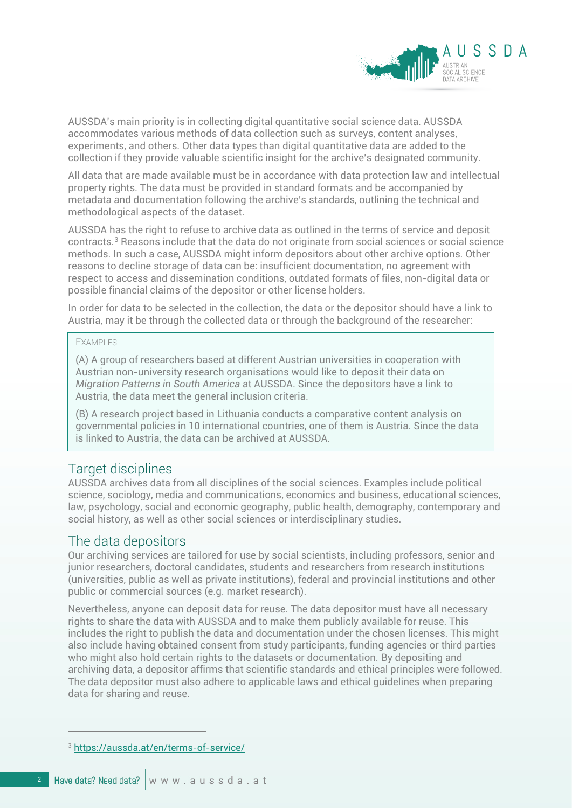

AUSSDA's main priority is in collecting digital quantitative social science data. AUSSDA accommodates various methods of data collection such as surveys, content analyses, experiments, and others. Other data types than digital quantitative data are added to the collection if they provide valuable scientific insight for the archive's designated community.

All data that are made available must be in accordance with data protection law and intellectual property rights. The data must be provided in standard formats and be accompanied by metadata and documentation following the archive's standards, outlining the technical and methodological aspects of the dataset.

AUSSDA has the right to refuse to archive data as outlined in the terms of service and deposit contracts. [3](#page-3-0) Reasons include that the data do not originate from social sciences or social science methods. In such a case, AUSSDA might inform depositors about other archive options. Other reasons to decline storage of data can be: insufficient documentation, no agreement with respect to access and dissemination conditions, outdated formats of files, non-digital data or possible financial claims of the depositor or other license holders.

In order for data to be selected in the collection, the data or the depositor should have a link to Austria, may it be through the collected data or through the background of the researcher:

#### EXAMPLES

(A) A group of researchers based at different Austrian universities in cooperation with Austrian non-university research organisations would like to deposit their data on *Migration Patterns in South America* at AUSSDA. Since the depositors have a link to Austria, the data meet the general inclusion criteria.

(B) A research project based in Lithuania conducts a comparative content analysis on governmental policies in 10 international countries, one of them is Austria. Since the data is linked to Austria, the data can be archived at AUSSDA.

#### Target disciplines

AUSSDA archives data from all disciplines of the social sciences. Examples include political science, sociology, media and communications, economics and business, educational sciences, law, psychology, social and economic geography, public health, demography, contemporary and social history, as well as other social sciences or interdisciplinary studies.

#### The data depositors

Our archiving services are tailored for use by social scientists, including professors, senior and junior researchers, doctoral candidates, students and researchers from research institutions (universities, public as well as private institutions), federal and provincial institutions and other public or commercial sources (e.g. market research).

Nevertheless, anyone can deposit data for reuse. The data depositor must have all necessary rights to share the data with AUSSDA and to make them publicly available for reuse. This includes the right to publish the data and documentation under the chosen licenses. This might also include having obtained consent from study participants, funding agencies or third parties who might also hold certain rights to the datasets or documentation. By depositing and archiving data, a depositor affirms that scientific standards and ethical principles were followed. The data depositor must also adhere to applicable laws and ethical guidelines when preparing data for sharing and reuse.

 $\overline{a}$ 

<span id="page-3-0"></span><sup>3</sup> <https://aussda.at/en/terms-of-service/>